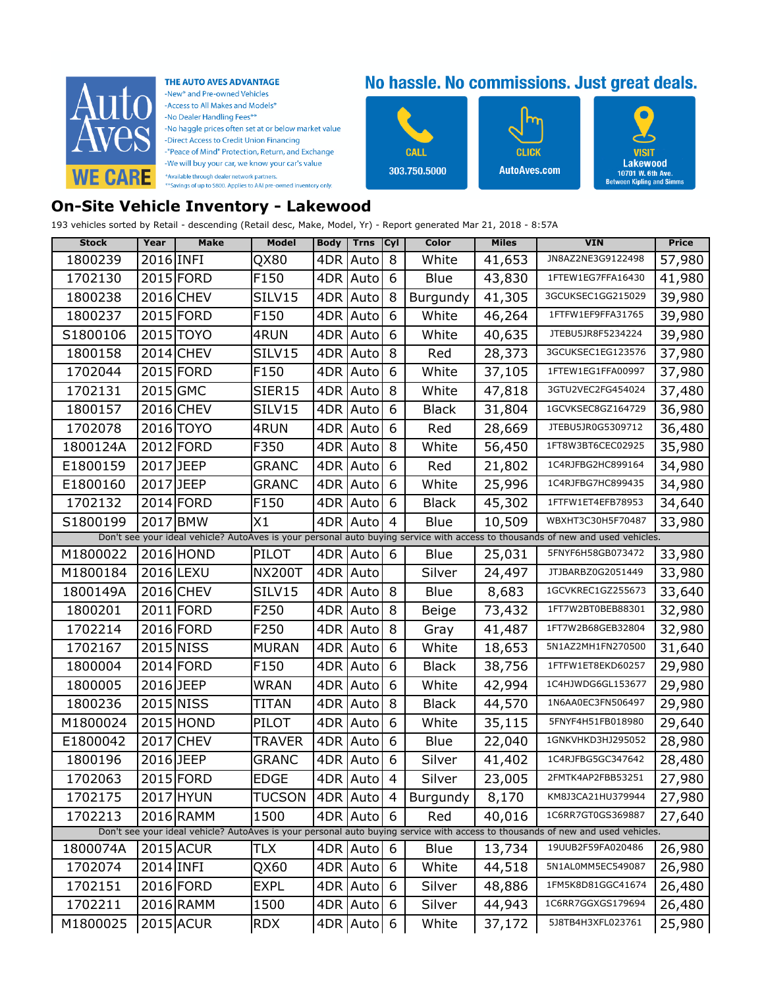

THE AUTO AVES ADVANTAGE -New<sup>\*</sup> and Pre-owned Vehicles -Access to All Makes and Models\* -No Dealer Handling Fees\*\* -No haggle prices often set at or below market value -Direct Access to Credit Union Financing -"Peace of Mind" Protection, Return, and Exchange -We will buy your car, we know your car's value \*Available through dealer network partners.<br>\*\*Savings of up to \$800. Applies to AAI pre-owned inventory only.

## No hassle. No commissions. Just great deals.

vish

Lakewood

10701 W. 6th Ave.<br>Between Kipling and Simms



## **On-Site Vehicle Inventory - Lakewood**

193 vehicles sorted by Retail - descending (Retail desc, Make, Model, Yr) - Report generated Mar 21, 2018 - 8:57A

| <b>Stock</b> | Year      | Make      | Model             | <b>Body</b> | <b>Trns</b> | Cyl | Color        | <b>Miles</b> | <b>VIN</b>                                                                                                                     | Price  |
|--------------|-----------|-----------|-------------------|-------------|-------------|-----|--------------|--------------|--------------------------------------------------------------------------------------------------------------------------------|--------|
| 1800239      | 2016 INFI |           | QX80              | 4DR.        | Auto        | 8   | White        | 41,653       | JN8AZ2NE3G9122498                                                                                                              | 57,980 |
| 1702130      |           | 2015 FORD | F150              |             | 4DR Auto    | 6   | Blue         | 43,830       | 1FTEW1EG7FFA16430                                                                                                              | 41,980 |
| 1800238      |           | 2016 CHEV | SILV15            |             | 4DR   Auto  | 8   | Burgundy     | 41,305       | 3GCUKSEC1GG215029                                                                                                              | 39,980 |
| 1800237      |           | 2015 FORD | F150              |             | 4DR Auto    | 6   | White        | 46,264       | 1FTFW1EF9FFA31765                                                                                                              | 39,980 |
| S1800106     |           | 2015 TOYO | 4RUN              |             | 4DR   Auto  | 6   | White        | 40,635       | JTEBU5JR8F5234224                                                                                                              | 39,980 |
| 1800158      |           | 2014 CHEV | SILV15            |             | 4DR Auto    | 8   | Red          | 28,373       | 3GCUKSEC1EG123576                                                                                                              | 37,980 |
| 1702044      |           | 2015 FORD | F150              |             | 4DR   Auto  | 6   | White        | 37,105       | 1FTEW1EG1FFA00997                                                                                                              | 37,980 |
| 1702131      | 2015 GMC  |           | SIER15            | 4DR         | Auto        | 8   | White        | 47,818       | 3GTU2VEC2FG454024                                                                                                              | 37,480 |
| 1800157      |           | 2016 CHEV | SILV15            |             | 4DR Auto    | 6   | Black        | 31,804       | 1GCVKSEC8GZ164729                                                                                                              | 36,980 |
| 1702078      |           | 2016 TOYO | 4RUN              |             | 4DR Auto    | 6   | Red          | 28,669       | JTEBU5JR0G5309712                                                                                                              | 36,480 |
| 1800124A     |           | 2012 FORD | F350              |             | 4DR   Auto  | 8   | White        | 56,450       | 1FT8W3BT6CEC02925                                                                                                              | 35,980 |
| E1800159     | 2017 JEEP |           | GRANC             |             | 4DR Auto    | 6   | Red          | 21,802       | 1C4RJFBG2HC899164                                                                                                              | 34,980 |
| E1800160     | 2017 JEEP |           | GRANC             |             | 4DR   Auto  | 6   | White        | 25,996       | 1C4RJFBG7HC899435                                                                                                              | 34,980 |
| 1702132      |           | 2014 FORD | F150              |             | 4DR Auto    | 6   | <b>Black</b> | 45,302       | 1FTFW1ET4EFB78953                                                                                                              | 34,640 |
| S1800199     |           | 2017 BMW  | X1                | 4DR         | Auto        | 4   | Blue         | 10,509       | WBXHT3C30H5F70487                                                                                                              | 33,980 |
|              |           |           |                   |             |             |     |              |              | Don't see your ideal vehicle? AutoAves is your personal auto buying service with access to thousands of new and used vehicles. |        |
| M1800022     |           | 2016 HOND | PILOT             |             | 4DR Auto    | 6   | Blue         | 25,031       | 5FNYF6H58GB073472                                                                                                              | 33,980 |
| M1800184     |           | 2016 LEXU | NX200T            |             | 4DR Auto    |     | Silver       | 24,497       | JTJBARBZ0G2051449                                                                                                              | 33,980 |
| 1800149A     |           | 2016 CHEV | SILV15            |             | 4DR Auto    | 8   | Blue         | 8,683        | 1GCVKREC1GZ255673                                                                                                              | 33,640 |
| 1800201      |           | 2011 FORD | F250              |             | 4DR Auto    | 8   | Beige        | 73,432       | 1FT7W2BT0BEB88301                                                                                                              | 32,980 |
| 1702214      |           | 2016 FORD | F250              |             | 4DR   Auto  | 8   | Gray         | 41,487       | 1FT7W2B68GEB32804                                                                                                              | 32,980 |
| 1702167      |           | 2015 NISS | MURAN             |             | 4DR Auto    | 6   | White        | 18,653       | 5N1AZ2MH1FN270500                                                                                                              | 31,640 |
| 1800004      |           | 2014 FORD | F150              |             | 4DR   Auto  | 6   | <b>Black</b> | 38,756       | 1FTFW1ET8EKD60257                                                                                                              | 29,980 |
| 1800005      | 2016 JEEP |           | WRAN              |             | 4DR Auto    | 6   | White        | 42,994       | 1C4HJWDG6GL153677                                                                                                              | 29,980 |
| 1800236      |           | 2015 NISS | TITAN             |             | 4DR Auto    | 8   | <b>Black</b> | 44,570       | 1N6AA0EC3FN506497                                                                                                              | 29,980 |
| M1800024     |           | 2015 HOND | PILOT             |             | 4DR Auto    | 6   | White        | 35,115       | 5FNYF4H51FB018980                                                                                                              | 29,640 |
| E1800042     |           | 2017 CHEV | TRAVER            |             | 4DR Auto    | 6   | Blue         | 22,040       | 1GNKVHKD3HJ295052                                                                                                              | 28,980 |
| 1800196      | 2016 JEEP |           | GRANC             |             | 4DR Auto    | 6   | Silver       | 41,402       | 1C4RJFBG5GC347642                                                                                                              | 28,480 |
| 1702063      |           | 2015 FORD | EDGE              |             | 4DR Auto    | 4   | Silver       | 23,005       | 2FMTK4AP2FBB53251                                                                                                              | 27,980 |
| 1702175      |           | 2017 HYUN | TUCSON 4DR Auto 4 |             |             |     | Burgundy     | 8,170        | KM8J3CA21HU379944                                                                                                              | 27,980 |
| 1702213      |           | 2016 RAMM | 1500              |             | 4DR Auto    | 6   | Red          | 40,016       | 1C6RR7GT0GS369887                                                                                                              | 27,640 |
|              |           |           |                   |             |             |     |              |              | Don't see your ideal vehicle? AutoAves is your personal auto buying service with access to thousands of new and used vehicles. |        |
| 1800074A     |           | 2015 ACUR | TLX               |             | 4DR Auto    | 6   | Blue         | 13,734       | 19UUB2F59FA020486                                                                                                              | 26,980 |
| 1702074      | 2014 INFI |           | QX60              |             | 4DR Auto    | 6   | White        | 44,518       | 5N1AL0MM5EC549087                                                                                                              | 26,980 |
| 1702151      |           | 2016 FORD | <b>EXPL</b>       |             | 4DR Auto    | 6   | Silver       | 48,886       | 1FM5K8D81GGC41674                                                                                                              | 26,480 |
| 1702211      |           | 2016 RAMM | 1500              |             | 4DR Auto    | 6   | Silver       | 44,943       | 1C6RR7GGXGS179694                                                                                                              | 26,480 |
| M1800025     |           | 2015 ACUR | <b>RDX</b>        |             | 4DR Auto    | 6   | White        | 37,172       | 5J8TB4H3XFL023761                                                                                                              | 25,980 |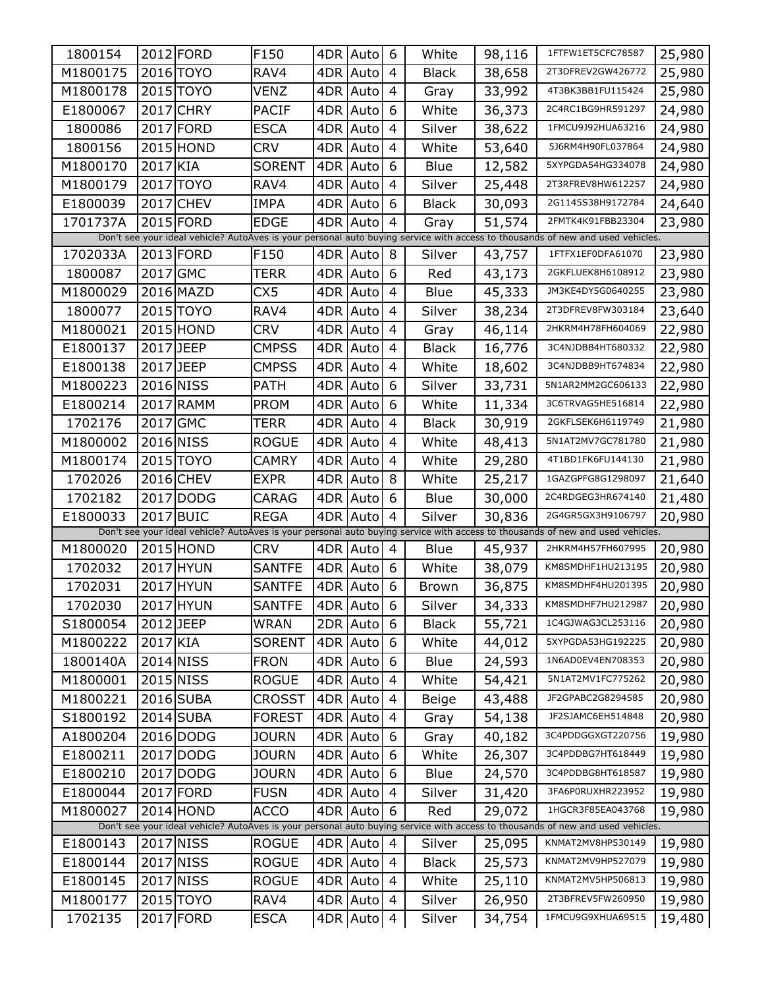| 1800154  |           | 2012 FORD | F150          | 4DR | Auto       | 6              | White        | 98,116 | 1FTFW1ET5CFC78587                                                                                                              | 25,980 |
|----------|-----------|-----------|---------------|-----|------------|----------------|--------------|--------|--------------------------------------------------------------------------------------------------------------------------------|--------|
| M1800175 |           | 2016 TOYO | RAV4          | 4DR | Auto       | 4              | <b>Black</b> | 38,658 | 2T3DFREV2GW426772                                                                                                              | 25,980 |
| M1800178 |           | 2015 TOYO | VENZ          | 4DR | Auto       | 4              | Gray         | 33,992 | 4T3BK3BB1FU115424                                                                                                              | 25,980 |
| E1800067 |           | 2017 CHRY | <b>PACIF</b>  | 4DR | Auto       | 6              | White        | 36,373 | 2C4RC1BG9HR591297                                                                                                              | 24,980 |
| 1800086  |           | 2017 FORD | ESCA          | 4DR | Auto       | 4              | Silver       | 38,622 | 1FMCU9J92HUA63216                                                                                                              | 24,980 |
| 1800156  |           | 2015 HOND | <b>CRV</b>    | 4DR | Auto       | 4              | White        | 53,640 | 5J6RM4H90FL037864                                                                                                              | 24,980 |
| M1800170 | 2017 KIA  |           | <b>SORENT</b> | 4DR | Auto       | 6              | Blue         | 12,582 | 5XYPGDA54HG334078                                                                                                              | 24,980 |
| M1800179 |           | 2017 TOYO | RAV4          | 4DR | Auto       | 4              | Silver       | 25,448 | 2T3RFREV8HW612257                                                                                                              | 24,980 |
| E1800039 |           | 2017 CHEV | IMPA          | 4DR | Auto       | 6              | <b>Black</b> | 30,093 | 2G1145S38H9172784                                                                                                              | 24,640 |
| 1701737A |           | 2015 FORD | <b>EDGE</b>   | 4DR | Auto       | $\overline{4}$ | Gray         | 51,574 | 2FMTK4K91FBB23304                                                                                                              | 23,980 |
|          |           |           |               |     |            |                |              |        | Don't see your ideal vehicle? AutoAves is your personal auto buying service with access to thousands of new and used vehicles. |        |
| 1702033A |           | 2013 FORD | F150          |     | 4DR Auto   | 8              | Silver       | 43,757 | 1FTFX1EF0DFA61070                                                                                                              | 23,980 |
| 1800087  | 2017 GMC  |           | TERR          | 4DR | Auto       | 6              | Red          | 43,173 | 2GKFLUEK8H6108912                                                                                                              | 23,980 |
| M1800029 |           | 2016 MAZD | CX5           | 4DR | Auto       | 4              | Blue         | 45,333 | JM3KE4DY5G0640255                                                                                                              | 23,980 |
| 1800077  |           | 2015 TOYO | RAV4          | 4DR | Auto       | 4              | Silver       | 38,234 | 2T3DFREV8FW303184                                                                                                              | 23,640 |
| M1800021 |           | 2015 HOND | <b>CRV</b>    | 4DR | Auto       | 4              | Gray         | 46,114 | 2HKRM4H78FH604069                                                                                                              | 22,980 |
| E1800137 | 2017 JEEP |           | <b>CMPSS</b>  | 4DR | Auto       | 4              | <b>Black</b> | 16,776 | 3C4NJDBB4HT680332                                                                                                              | 22,980 |
| E1800138 | 2017 JEEP |           | CMPSS         | 4DR | Auto       | 4              | White        | 18,602 | 3C4NJDBB9HT674834                                                                                                              | 22,980 |
| M1800223 |           | 2016 NISS | <b>PATH</b>   | 4DR | Auto       | 6              | Silver       | 33,731 | 5N1AR2MM2GC606133                                                                                                              | 22,980 |
| E1800214 |           | 2017 RAMM | <b>PROM</b>   | 4DR | Auto       | 6              | White        | 11,334 | 3C6TRVAG5HE516814                                                                                                              | 22,980 |
| 1702176  | 2017 GMC  |           | TERR          | 4DR | Auto       | 4              | <b>Black</b> | 30,919 | 2GKFLSEK6H6119749                                                                                                              | 21,980 |
| M1800002 |           | 2016 NISS | <b>ROGUE</b>  | 4DR | Auto       | 4              | White        | 48,413 | 5N1AT2MV7GC781780                                                                                                              | 21,980 |
| M1800174 |           | 2015 TOYO | CAMRY         | 4DR | Auto       | 4              | White        | 29,280 | 4T1BD1FK6FU144130                                                                                                              | 21,980 |
| 1702026  |           | 2016 CHEV | <b>EXPR</b>   | 4DR | Auto       | 8              | White        | 25,217 | 1GAZGPFG8G1298097                                                                                                              | 21,640 |
| 1702182  |           | 2017 DODG | CARAG         | 4DR | Auto       | 6              | Blue         | 30,000 | 2C4RDGEG3HR674140                                                                                                              | 21,480 |
| E1800033 |           | 2017 BUIC | <b>REGA</b>   | 4DR | Auto       | 4              | Silver       | 30,836 | 2G4GR5GX3H9106797                                                                                                              | 20,980 |
|          |           |           |               |     |            |                |              |        | Don't see your ideal vehicle? AutoAves is your personal auto buying service with access to thousands of new and used vehicles. |        |
| M1800020 |           | 2015 HOND | <b>CRV</b>    | 4DR | Auto       | 4              | Blue         | 45,937 | 2HKRM4H57FH607995                                                                                                              | 20,980 |
| 1702032  |           | 2017 HYUN | <b>SANTFE</b> | 4DR | Auto       | 6              | White        | 38,079 | KM8SMDHF1HU213195                                                                                                              | 20,980 |
| 1702031  |           | 2017 HYUN | <b>SANTFE</b> | 4DR | Auto       | 6              | Brown        | 36,875 | KM8SMDHF4HU201395                                                                                                              | 20,980 |
| 1702030  |           | 2017 HYUN | SANTFE        |     | 4DR Auto 6 |                | Silver       | 34,333 | KM8SMDHF7HU212987                                                                                                              | 20,980 |
| S1800054 | 2012 JEEP |           | WRAN          |     | 2DR Auto   | 6              | <b>Black</b> | 55,721 | 1C4GJWAG3CL253116                                                                                                              | 20,980 |
| M1800222 | 2017 KIA  |           | <b>SORENT</b> | 4DR | Auto       | 6              | White        | 44,012 | 5XYPGDA53HG192225                                                                                                              | 20,980 |
| 1800140A |           | 2014 NISS | <b>FRON</b>   | 4DR | Auto       | 6              | Blue         | 24,593 | 1N6AD0EV4EN708353                                                                                                              | 20,980 |
| M1800001 |           | 2015 NISS | <b>ROGUE</b>  | 4DR | Auto       | 4              | White        | 54,421 | 5N1AT2MV1FC775262                                                                                                              | 20,980 |
| M1800221 |           | 2016 SUBA | CROSST        | 4DR | Auto       | 4              | Beige        | 43,488 | JF2GPABC2G8294585                                                                                                              | 20,980 |
| S1800192 |           | 2014 SUBA | <b>FOREST</b> | 4DR | Auto       | $\overline{4}$ | Gray         | 54,138 | JF2SJAMC6EH514848                                                                                                              | 20,980 |
| A1800204 |           | 2016 DODG | <b>JOURN</b>  | 4DR | Auto       | 6              | Gray         | 40,182 | 3C4PDDGGXGT220756                                                                                                              | 19,980 |
| E1800211 |           | 2017 DODG | <b>JOURN</b>  | 4DR | Auto       | 6              | White        | 26,307 | 3C4PDDBG7HT618449                                                                                                              | 19,980 |
| E1800210 |           | 2017 DODG | <b>JOURN</b>  | 4DR | Auto       | 6              | Blue         | 24,570 | 3C4PDDBG8HT618587                                                                                                              | 19,980 |
| E1800044 |           | 2017 FORD | <b>FUSN</b>   | 4DR | Auto       | $\overline{4}$ | Silver       | 31,420 | 3FA6P0RUXHR223952                                                                                                              | 19,980 |
| M1800027 |           | 2014 HOND | <b>ACCO</b>   | 4DR | Auto       | 6              | Red          | 29,072 | 1HGCR3F85EA043768                                                                                                              | 19,980 |
|          |           |           |               |     |            |                |              |        | Don't see your ideal vehicle? AutoAves is your personal auto buying service with access to thousands of new and used vehicles. |        |
| E1800143 |           | 2017 NISS | <b>ROGUE</b>  |     | 4DR Auto   | $\overline{4}$ | Silver       | 25,095 | KNMAT2MV8HP530149                                                                                                              | 19,980 |
| E1800144 |           | 2017 NISS | <b>ROGUE</b>  |     | 4DR Auto   | 4              | <b>Black</b> | 25,573 | KNMAT2MV9HP527079                                                                                                              | 19,980 |
| E1800145 |           | 2017 NISS | <b>ROGUE</b>  |     | 4DR Auto   | 4              | White        | 25,110 | KNMAT2MV5HP506813                                                                                                              | 19,980 |
| M1800177 |           | 2015 TOYO | RAV4          |     | 4DR Auto   | 4              | Silver       | 26,950 | 2T3BFREV5FW260950                                                                                                              | 19,980 |
| 1702135  |           | 2017 FORD | <b>ESCA</b>   |     | 4DR Auto   | 4              | Silver       | 34,754 | 1FMCU9G9XHUA69515                                                                                                              | 19,480 |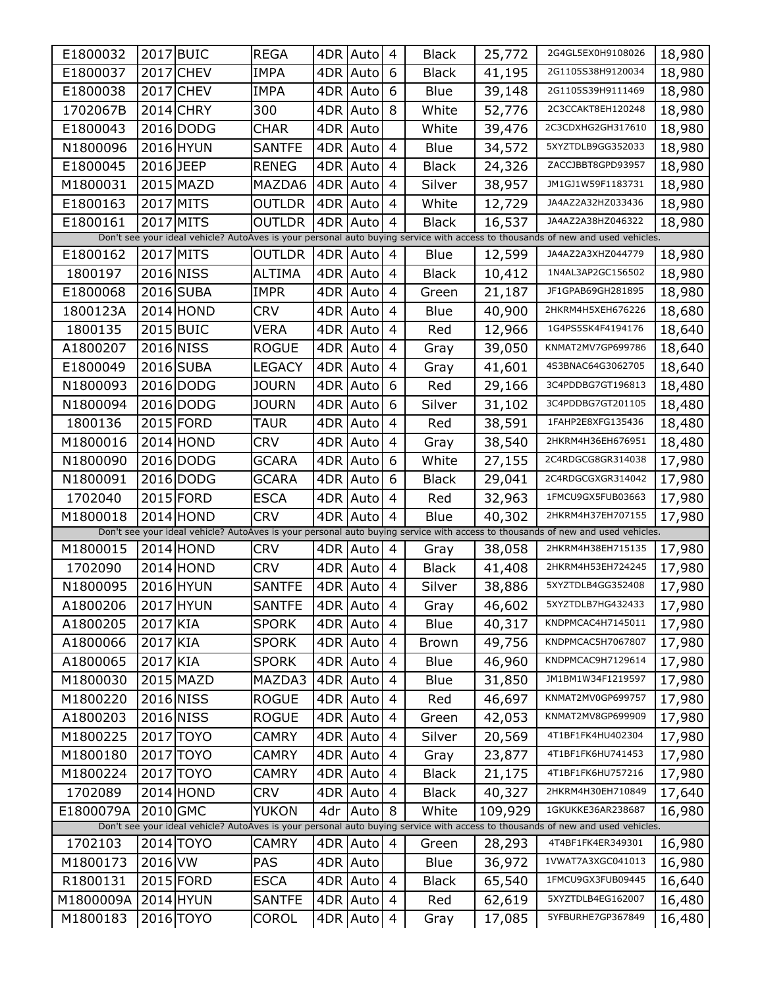| E1800032  |           | 2017 BUIC | <b>REGA</b>   | 4DR | Auto     | 4              | <b>Black</b> | 25,772  | 2G4GL5EX0H9108026                                                                                                              | 18,980 |
|-----------|-----------|-----------|---------------|-----|----------|----------------|--------------|---------|--------------------------------------------------------------------------------------------------------------------------------|--------|
| E1800037  |           | 2017 CHEV | <b>IMPA</b>   | 4DR | Auto     | 6              | <b>Black</b> | 41,195  | 2G1105S38H9120034                                                                                                              | 18,980 |
| E1800038  |           | 2017 CHEV | IMPA          | 4DR | Auto     | 6              | Blue         | 39,148  | 2G1105S39H9111469                                                                                                              | 18,980 |
| 1702067B  |           | 2014 CHRY | 300           | 4DR | Auto     | 8              | White        | 52,776  | 2C3CCAKT8EH120248                                                                                                              | 18,980 |
| E1800043  |           | 2016 DODG | CHAR          | 4DR | Auto     |                | White        | 39,476  | 2C3CDXHG2GH317610                                                                                                              | 18,980 |
| N1800096  |           | 2016 HYUN | SANTFE        | 4DR | Auto     | 4              | Blue         | 34,572  | 5XYZTDLB9GG352033                                                                                                              | 18,980 |
| E1800045  | 2016 JEEP |           | <b>RENEG</b>  | 4DR | Auto     | 4              | <b>Black</b> | 24,326  | ZACCJBBT8GPD93957                                                                                                              | 18,980 |
| M1800031  |           | 2015 MAZD | MAZDA6        | 4DR | Auto     | 4              | Silver       | 38,957  | JM1GJ1W59F1183731                                                                                                              | 18,980 |
| E1800163  |           | 2017 MITS | OUTLDR        | 4DR | Auto     | 4              | White        | 12,729  | JA4AZ2A32HZ033436                                                                                                              | 18,980 |
| E1800161  |           | 2017 MITS | OUTLDR        | 4DR | Auto     | 4              | <b>Black</b> | 16,537  | JA4AZ2A38HZ046322                                                                                                              | 18,980 |
|           |           |           |               |     |          |                |              |         | Don't see your ideal vehicle? AutoAves is your personal auto buying service with access to thousands of new and used vehicles. |        |
| E1800162  |           | 2017 MITS | <b>OUTLDR</b> |     | 4DR Auto | 4              | Blue         | 12,599  | JA4AZ2A3XHZ044779                                                                                                              | 18,980 |
| 1800197   |           | 2016 NISS | <b>ALTIMA</b> | 4DR | Auto     | 4              | <b>Black</b> | 10,412  | 1N4AL3AP2GC156502                                                                                                              | 18,980 |
| E1800068  |           | 2016 SUBA | <b>IMPR</b>   | 4DR | Auto     | 4              | Green        | 21,187  | JF1GPAB69GH281895                                                                                                              | 18,980 |
| 1800123A  |           | 2014 HOND | CRV           | 4DR | Auto     | 4              | Blue         | 40,900  | 2HKRM4H5XEH676226                                                                                                              | 18,680 |
| 1800135   |           | 2015 BUIC | VERA          | 4DR | Auto     | 4              | Red          | 12,966  | 1G4PS5SK4F4194176                                                                                                              | 18,640 |
| A1800207  |           | 2016 NISS | <b>ROGUE</b>  | 4DR | Auto     | 4              | Gray         | 39,050  | KNMAT2MV7GP699786                                                                                                              | 18,640 |
| E1800049  |           | 2016 SUBA | LEGACY        | 4DR | Auto     | 4              | Gray         | 41,601  | 4S3BNAC64G3062705                                                                                                              | 18,640 |
| N1800093  |           | 2016 DODG | <b>JOURN</b>  | 4DR | Auto     | 6              | Red          | 29,166  | 3C4PDDBG7GT196813                                                                                                              | 18,480 |
| N1800094  |           | 2016 DODG | Journ         | 4DR | Auto     | 6              | Silver       | 31,102  | 3C4PDDBG7GT201105                                                                                                              | 18,480 |
| 1800136   |           | 2015 FORD | TAUR          | 4DR | Auto     | 4              | Red          | 38,591  | 1FAHP2E8XFG135436                                                                                                              | 18,480 |
| M1800016  |           | 2014 HOND | CRV           | 4DR | Auto     | 4              | Gray         | 38,540  | 2HKRM4H36EH676951                                                                                                              | 18,480 |
| N1800090  |           | 2016 DODG | GCARA         | 4DR | Auto     | 6              | White        | 27,155  | 2C4RDGCG8GR314038                                                                                                              | 17,980 |
| N1800091  |           | 2016 DODG | GCARA         | 4DR | Auto     | 6              | <b>Black</b> | 29,041  | 2C4RDGCGXGR314042                                                                                                              | 17,980 |
| 1702040   |           | 2015 FORD | <b>ESCA</b>   | 4DR | Auto     | 4              | Red          | 32,963  | 1FMCU9GX5FUB03663                                                                                                              | 17,980 |
| M1800018  |           | 2014 HOND | CRV           | 4DR | Auto     | 4              | Blue         | 40,302  | 2HKRM4H37EH707155                                                                                                              | 17,980 |
|           |           |           |               |     |          |                |              |         | Don't see your ideal vehicle? AutoAves is your personal auto buying service with access to thousands of new and used vehicles. |        |
| M1800015  |           | 2014 HOND | CRV           | 4DR | Auto     | 4              | Gray         | 38,058  | 2HKRM4H38EH715135                                                                                                              | 17,980 |
| 1702090   |           | 2014 HOND | <b>CRV</b>    | 4DR | Auto     | $\overline{4}$ | <b>Black</b> | 41,408  | 2HKRM4H53EH724245                                                                                                              | 17,980 |
| N1800095  |           | 2016 HYUN | <b>SANTFE</b> | 4DR | Auto     | 4              | Silver       | 38,886  | 5XYZTDLB4GG352408                                                                                                              | 17,980 |
| A1800206  |           | 2017 HYUN | SANTFE        |     | 4DR Auto | $\overline{4}$ | Gray         | 46,602  | 5XYZTDLB7HG432433                                                                                                              | 17,980 |
| A1800205  | 2017 KIA  |           | SPORK         |     | 4DR Auto | 4              | Blue         | 40,317  | KNDPMCAC4H7145011                                                                                                              | 17,980 |
| A1800066  | 2017 KIA  |           | <b>SPORK</b>  |     | 4DR Auto | $\overline{4}$ | <b>Brown</b> | 49,756  | KNDPMCAC5H7067807                                                                                                              | 17,980 |
| A1800065  | 2017 KIA  |           | <b>SPORK</b>  | 4DR | Auto     | 4              | Blue         | 46,960  | KNDPMCAC9H7129614                                                                                                              | 17,980 |
| M1800030  |           | 2015 MAZD | MAZDA3        | 4DR | Autol    | $\overline{4}$ | Blue         | 31,850  | JM1BM1W34F1219597                                                                                                              | 17,980 |
| M1800220  |           | 2016 NISS | <b>ROGUE</b>  | 4DR | Auto     | 4              | Red          | 46,697  | KNMAT2MV0GP699757                                                                                                              | 17,980 |
| A1800203  |           | 2016 NISS | <b>ROGUE</b>  | 4DR | Auto     | 4              | Green        | 42,053  | KNMAT2MV8GP699909                                                                                                              | 17,980 |
| M1800225  |           | 2017 TOYO | CAMRY         | 4DR | Auto     | 4              | Silver       | 20,569  | 4T1BF1FK4HU402304                                                                                                              | 17,980 |
| M1800180  |           | 2017 TOYO | CAMRY         | 4DR | Autol    | $\overline{4}$ | Gray         | 23,877  | 4T1BF1FK6HU741453                                                                                                              | 17,980 |
| M1800224  |           | 2017 TOYO | CAMRY         | 4DR | Auto     | 4              | <b>Black</b> | 21,175  | 4T1BF1FK6HU757216                                                                                                              | 17,980 |
| 1702089   |           | 2014 HOND | <b>CRV</b>    | 4DR | Autol    | $\overline{4}$ | <b>Black</b> | 40,327  | 2HKRM4H30EH710849                                                                                                              | 17,640 |
| E1800079A | 2010 GMC  |           | YUKON         | 4dr | Auto     | 8              | White        | 109,929 | 1GKUKKE36AR238687                                                                                                              | 16,980 |
|           |           |           |               |     |          |                |              |         | Don't see your ideal vehicle? AutoAves is your personal auto buying service with access to thousands of new and used vehicles. |        |
| 1702103   |           | 2014 TOYO | CAMRY         |     | 4DR Auto | $\overline{4}$ | Green        | 28,293  | 4T4BF1FK4ER349301                                                                                                              | 16,980 |
| M1800173  | 2016 VW   |           | <b>PAS</b>    |     | 4DR Auto |                | Blue         | 36,972  | 1VWAT7A3XGC041013                                                                                                              | 16,980 |
| R1800131  |           | 2015 FORD | <b>ESCA</b>   |     | 4DR Auto | $\overline{4}$ | <b>Black</b> | 65,540  | 1FMCU9GX3FUB09445                                                                                                              | 16,640 |
| M1800009A |           | 2014 HYUN | <b>SANTFE</b> |     | 4DR Auto | 4              | Red          | 62,619  | 5XYZTDLB4EG162007                                                                                                              | 16,480 |
| M1800183  |           | 2016 TOYO | COROL         |     | 4DR Auto | $\overline{4}$ | Gray         | 17,085  | 5YFBURHE7GP367849                                                                                                              | 16,480 |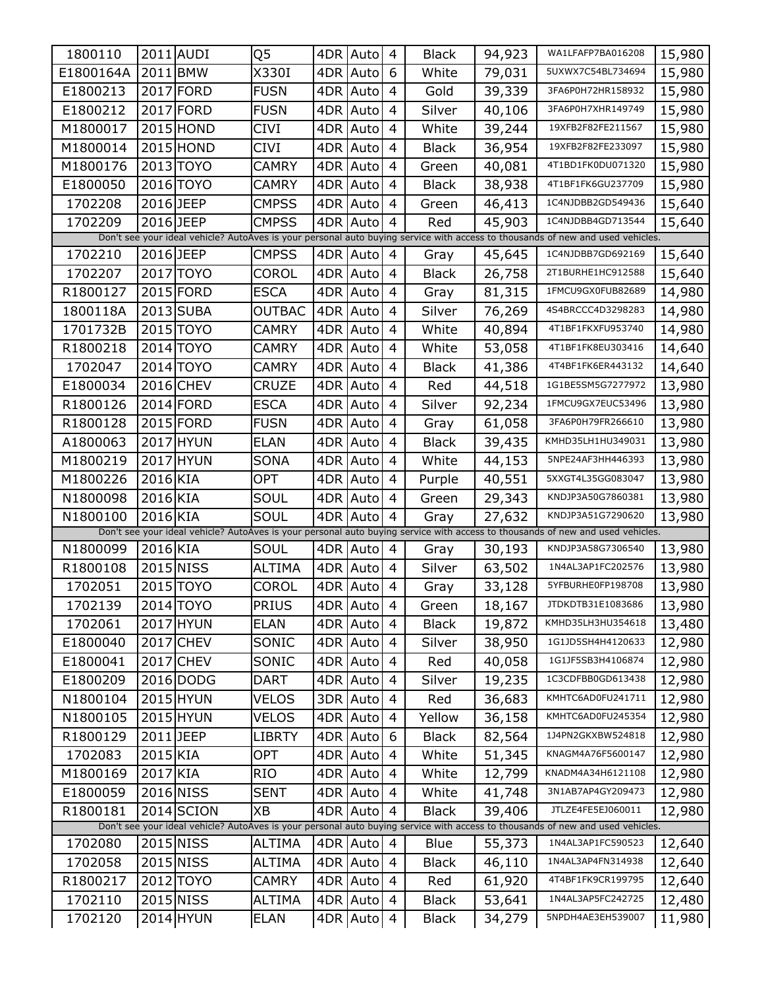| 1800110   |           | 2011 AUDI  | Q5            |     | 4DR Auto   | 4              | <b>Black</b> | 94,923 | WA1LFAFP7BA016208                                                                                                              | 15,980 |
|-----------|-----------|------------|---------------|-----|------------|----------------|--------------|--------|--------------------------------------------------------------------------------------------------------------------------------|--------|
| E1800164A | 2011 BMW  |            | X330I         | 4DR | Auto       | 6              | White        | 79,031 | 5UXWX7C54BL734694                                                                                                              | 15,980 |
| E1800213  |           | 2017 FORD  | <b>FUSN</b>   | 4DR | Auto       | 4              | Gold         | 39,339 | 3FA6P0H72HR158932                                                                                                              | 15,980 |
| E1800212  |           | 2017 FORD  | <b>FUSN</b>   | 4DR | Auto       | 4              | Silver       | 40,106 | 3FA6P0H7XHR149749                                                                                                              | 15,980 |
| M1800017  |           | 2015 HOND  | CIVI          | 4DR | Auto       | 4              | White        | 39,244 | 19XFB2F82FE211567                                                                                                              | 15,980 |
| M1800014  |           | 2015 HOND  | CIVI          | 4DR | Auto       | 4              | <b>Black</b> | 36,954 | 19XFB2F82FE233097                                                                                                              | 15,980 |
| M1800176  |           | 2013 TOYO  | CAMRY         | 4DR | Auto       | 4              | Green        | 40,081 | 4T1BD1FK0DU071320                                                                                                              | 15,980 |
| E1800050  |           | 2016 TOYO  | CAMRY         | 4DR | Auto       | 4              | <b>Black</b> | 38,938 | 4T1BF1FK6GU237709                                                                                                              | 15,980 |
| 1702208   | 2016 JEEP |            | CMPSS         | 4DR | Auto       | 4              | Green        | 46,413 | 1C4NJDBB2GD549436                                                                                                              | 15,640 |
| 1702209   | 2016 JEEP |            | <b>CMPSS</b>  | 4DR | Auto       | 4              | Red          | 45,903 | 1C4NJDBB4GD713544                                                                                                              | 15,640 |
|           |           |            |               |     |            |                |              |        | Don't see your ideal vehicle? AutoAves is your personal auto buying service with access to thousands of new and used vehicles. |        |
| 1702210   | 2016 JEEP |            | <b>CMPSS</b>  |     | 4DR Auto   | 4              | Gray         | 45,645 | 1C4NJDBB7GD692169                                                                                                              | 15,640 |
| 1702207   |           | 2017 TOYO  | COROL         | 4DR | Auto       | $\overline{4}$ | <b>Black</b> | 26,758 | 2T1BURHE1HC912588                                                                                                              | 15,640 |
| R1800127  |           | 2015 FORD  | ESCA          | 4DR | Auto       | 4              | Gray         | 81,315 | 1FMCU9GX0FUB82689                                                                                                              | 14,980 |
| 1800118A  |           | 2013 SUBA  | OUTBAC        | 4DR | Auto       | 4              | Silver       | 76,269 | 4S4BRCCC4D3298283                                                                                                              | 14,980 |
| 1701732B  |           | 2015 TOYO  | CAMRY         | 4DR | Auto       | 4              | White        | 40,894 | 4T1BF1FKXFU953740                                                                                                              | 14,980 |
| R1800218  |           | 2014 TOYO  | CAMRY         | 4DR | Auto       | $\overline{4}$ | White        | 53,058 | 4T1BF1FK8EU303416                                                                                                              | 14,640 |
| 1702047   |           | 2014 TOYO  | CAMRY         | 4DR | Auto       | 4              | <b>Black</b> | 41,386 | 4T4BF1FK6ER443132                                                                                                              | 14,640 |
| E1800034  |           | 2016 CHEV  | CRUZE         | 4DR | Auto       | 4              | Red          | 44,518 | 1G1BE5SM5G7277972                                                                                                              | 13,980 |
| R1800126  |           | 2014 FORD  | <b>ESCA</b>   | 4DR | Auto       | 4              | Silver       | 92,234 | 1FMCU9GX7EUC53496                                                                                                              | 13,980 |
| R1800128  |           | 2015 FORD  | <b>FUSN</b>   | 4DR | Auto       | 4              | Gray         | 61,058 | 3FA6P0H79FR266610                                                                                                              | 13,980 |
| A1800063  |           | 2017 HYUN  | ELAN          | 4DR | Auto       | 4              | <b>Black</b> | 39,435 | KMHD35LH1HU349031                                                                                                              | 13,980 |
| M1800219  |           | 2017 HYUN  | <b>SONA</b>   | 4DR | Auto       | 4              | White        | 44,153 | 5NPE24AF3HH446393                                                                                                              | 13,980 |
| M1800226  | 2016 KIA  |            | OPT           | 4DR | Auto       | 4              | Purple       | 40,551 | 5XXGT4L35GG083047                                                                                                              | 13,980 |
| N1800098  | 2016 KIA  |            | SOUL          | 4DR | Auto       | 4              | Green        | 29,343 | KNDJP3A50G7860381                                                                                                              | 13,980 |
| N1800100  | 2016 KIA  |            | SOUL          | 4DR | Auto       | 4              | Gray         | 27,632 | KNDJP3A51G7290620                                                                                                              | 13,980 |
|           |           |            |               |     |            |                |              |        | Don't see your ideal vehicle? AutoAves is your personal auto buying service with access to thousands of new and used vehicles. |        |
| N1800099  | 2016 KIA  |            | SOUL          |     | 4DR Auto   | $\overline{4}$ | Gray         | 30,193 | KNDJP3A58G7306540                                                                                                              | 13,980 |
| R1800108  |           | 2015 NISS  | <b>ALTIMA</b> | 4DR | Auto       | $\overline{4}$ | Silver       | 63,502 | 1N4AL3AP1FC202576                                                                                                              | 13,980 |
| 1702051   |           | 2015 TOYO  | COROL         |     | 4DR Auto   | 4              | Gray         | 33,128 | 5YFBURHE0FP198708                                                                                                              | 13,980 |
| 1702139   |           | 2014 TOYO  | <b>PRIUS</b>  |     | 4DR Auto 4 |                | Green        | 18,167 | JTDKDTB31E1083686                                                                                                              | 13,980 |
| 1702061   |           | 2017 HYUN  | <b>ELAN</b>   |     | 4DR Auto   | 4              | <b>Black</b> | 19,872 | KMHD35LH3HU354618                                                                                                              | 13,480 |
| E1800040  |           | 2017 CHEV  | SONIC         |     | 4DR Auto   | $\overline{4}$ | Silver       | 38,950 | 1G1JD5SH4H4120633                                                                                                              | 12,980 |
| E1800041  |           | 2017 CHEV  | SONIC         |     | 4DR Auto   | 4              | Red          | 40,058 | 1G1JF5SB3H4106874                                                                                                              | 12,980 |
| E1800209  |           | 2016 DODG  | DART          |     | 4DR Auto   | $\overline{4}$ | Silver       | 19,235 | 1C3CDFBB0GD613438                                                                                                              | 12,980 |
| N1800104  |           | 2015 HYUN  | VELOS         |     | 3DR Auto   | 4              | Red          | 36,683 | KMHTC6AD0FU241711                                                                                                              | 12,980 |
| N1800105  |           | 2015 HYUN  | VELOS         |     | 4DR Auto   | $\overline{4}$ | Yellow       | 36,158 | KMHTC6AD0FU245354                                                                                                              | 12,980 |
| R1800129  | 2011 JEEP |            | LIBRTY        |     | 4DR Auto   | 6              | <b>Black</b> | 82,564 | 1J4PN2GKXBW524818                                                                                                              | 12,980 |
| 1702083   | 2015 KIA  |            | OPT           |     | 4DR Auto   | $\overline{4}$ | White        | 51,345 | KNAGM4A76F5600147                                                                                                              | 12,980 |
| M1800169  | 2017 KIA  |            | <b>RIO</b>    |     | 4DR Auto   | 4              | White        | 12,799 | KNADM4A34H6121108                                                                                                              | 12,980 |
| E1800059  |           | 2016 NISS  | <b>SENT</b>   |     | 4DR Auto   | $\overline{4}$ | White        | 41,748 | 3N1AB7AP4GY209473                                                                                                              | 12,980 |
| R1800181  |           | 2014 SCION | XB            |     | 4DR Auto   | $\overline{4}$ | <b>Black</b> | 39,406 | JTLZE4FE5EJ060011                                                                                                              | 12,980 |
|           |           |            |               |     |            |                |              |        | Don't see your ideal vehicle? AutoAves is your personal auto buying service with access to thousands of new and used vehicles. |        |
| 1702080   |           | 2015 NISS  | ALTIMA        |     | 4DR Auto   | $\overline{4}$ | Blue         | 55,373 | 1N4AL3AP1FC590523                                                                                                              | 12,640 |
| 1702058   |           | 2015 NISS  | ALTIMA        |     | 4DR Auto   | 4              | <b>Black</b> | 46,110 | 1N4AL3AP4FN314938                                                                                                              | 12,640 |
| R1800217  |           | 2012 TOYO  | CAMRY         |     | 4DR Auto   | $\overline{4}$ | Red          | 61,920 | 4T4BF1FK9CR199795                                                                                                              | 12,640 |
| 1702110   |           | 2015 NISS  | <b>ALTIMA</b> |     | 4DR Auto   | 4              | <b>Black</b> | 53,641 | 1N4AL3AP5FC242725                                                                                                              | 12,480 |
| 1702120   |           | 2014 HYUN  | <b>ELAN</b>   |     | 4DR Auto   | $\overline{4}$ | <b>Black</b> | 34,279 | 5NPDH4AE3EH539007                                                                                                              | 11,980 |